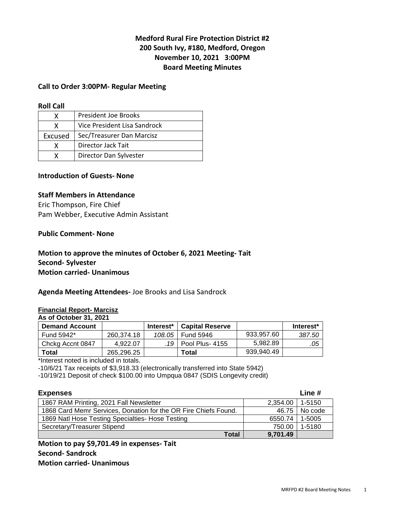# **Medford Rural Fire Protection District #2 200 South Ivy, #180, Medford, Oregon November 10, 2021 3:00PM Board Meeting Minutes**

## **Call to Order 3:00PM- Regular Meeting**

#### **Roll Call**

| x       | <b>President Joe Brooks</b>  |
|---------|------------------------------|
|         | Vice President Lisa Sandrock |
| Excused | Sec/Treasurer Dan Marcisz    |
| x       | Director Jack Tait           |
|         | Director Dan Sylvester       |

# **Introduction of Guests- None**

# **Staff Members in Attendance**

Eric Thompson, Fire Chief Pam Webber, Executive Admin Assistant

#### **Public Comment- None**

# **Motion to approve the minutes of October 6, 2021 Meeting- Tait Second- Sylvester Motion carried- Unanimous**

#### **Agenda Meeting Attendees-** Joe Brooks and Lisa Sandrock

#### **Financial Report- Marcisz**

**As of October 31, 2021** 

| <b>Demand Account</b> |            | Interest* | <b>Capital Reserve</b> |            | Interest* |
|-----------------------|------------|-----------|------------------------|------------|-----------|
| Fund 5942*            | 260.374.18 | 108.05    | <b>Fund 5946</b>       | 933.957.60 | 387.50    |
| Chckg Accnt 0847      | 4.922.07   |           | .19   Pool Plus- 4155  | 5.982.89   | .05       |
| Total                 | 265.296.25 |           | Total                  | 939,940.49 |           |

\*Interest noted is included in totals.

-10/6/21 Tax receipts of \$3,918.33 (electronically transferred into State 5942)

-10/19/21 Deposit of check \$100.00 into Umpqua 0847 (SDIS Longevity credit)

| <b>Expenses</b>                                                 |                     |         |
|-----------------------------------------------------------------|---------------------|---------|
| 1867 RAM Printing, 2021 Fall Newsletter                         | $2,354.00$   1-5150 |         |
| 1868 Card Memr Services, Donation for the OR Fire Chiefs Found. | 46.75               | No code |
| 1869 Natl Hose Testing Specialties- Hose Testing                | 6550.74             | 1-5005  |
| Secretary/Treasurer Stipend                                     | 750.00              | 1-5180  |
| Total                                                           | 9,701.49            |         |

**Motion to pay \$9,701.49 in expenses- Tait Second- Sandrock Motion carried- Unanimous**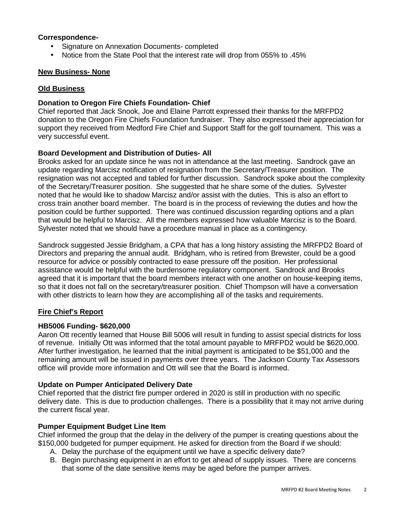## **Correspondence-**

- Signature on Annexation Documents- completed
- Notice from the State Pool that the interest rate will drop from 055% to .45%

# **New Business- None**

## **Old Business**

## **Donation to Oregon Fire Chiefs Foundation- Chief**

Chief reported that Jack Snook, Joe and Elaine Parrott expressed their thanks for the MRFPD2 donation to the Oregon Fire Chiefs Foundation fundraiser. They also expressed their appreciation for support they received from Medford Fire Chief and Support Staff for the golf tournament. This was a very successful event.

### **Board Development and Distribution of Duties- All**

Brooks asked for an update since he was not in attendance at the last meeting. Sandrock gave an update regarding Marcisz notification of resignation from the Secretary/Treasurer position. The resignation was not accepted and tabled for further discussion. Sandrock spoke about the complexity of the Secretary/Treasurer position. She suggested that he share some of the duties. Sylvester noted that he would like to shadow Marcisz and/or assist with the duties. This is also an effort to cross train another board member. The board is in the process of reviewing the duties and how the position could be further supported. There was continued discussion regarding options and a plan that would be helpful to Marcisz. All the members expressed how valuable Marcisz is to the Board. Sylvester noted that we should have a procedure manual in place as a contingency.

Sandrock suggested Jessie Bridgham, a CPA that has a long history assisting the MRFPD2 Board of Directors and preparing the annual audit. Bridgham, who is retired from Brewster, could be a good resource for advice or possibly contracted to ease pressure off the position. Her professional assistance would be helpful with the burdensome regulatory component. Sandrock and Brooks agreed that it is important that the board members interact with one another on house-keeping items, so that it does not fall on the secretary/treasurer position. Chief Thompson will have a conversation with other districts to learn how they are accomplishing all of the tasks and requirements.

# **Fire Chief's Report**

#### **HB5006 Funding- \$620,000**

Aaron Ott recently learned that House Bill 5006 will result in funding to assist special districts for loss of revenue. Initially Ott was informed that the total amount payable to MRFPD2 would be \$620,000. After further investigation, he learned that the initial payment is anticipated to be \$51,000 and the remaining amount will be issued in payments over three years. The Jackson County Tax Assessors office will provide more information and Ott will see that the Board is informed.

#### **Update on Pumper Anticipated Delivery Date**

Chief reported that the district fire pumper ordered in 2020 is still in production with no specific delivery date. This is due to production challenges. There is a possibility that it may not arrive during the current fiscal year.

# **Pumper Equipment Budget Line Item**

Chief informed the group that the delay in the delivery of the pumper is creating questions about the \$150,000 budgeted for pumper equipment. He asked for direction from the Board if we should:

- A. Delay the purchase of the equipment until we have a specific delivery date?
- B. Begin purchasing equipment in an effort to get ahead of supply issues. There are concerns that some of the date sensitive items may be aged before the pumper arrives.